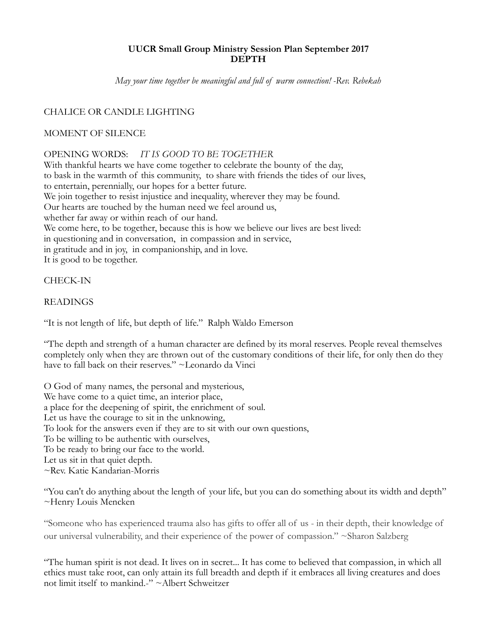# **UUCR Small Group Ministry Session Plan September 2017 DEPTH**

*May your time together be meaningful and full of warm connection! -Rev. Rebekah* 

# CHALICE OR CANDLE LIGHTING

## MOMENT OF SILENCE

## OPENING WORDS: *IT IS GOOD TO BE TOGETHER*

With thankful hearts we have come together to celebrate the bounty of the day, to bask in the warmth of this community, to share with friends the tides of our lives, to entertain, perennially, our hopes for a better future. We join together to resist injustice and inequality, wherever they may be found. Our hearts are touched by the human need we feel around us, whether far away or within reach of our hand. We come here, to be together, because this is how we believe our lives are best lived: in questioning and in conversation, in compassion and in service, in gratitude and in joy, in companionship, and in love. It is good to be together.

# CHECK-IN

#### **READINGS**

"It is not length of life, but depth of life." Ralph Waldo Emerson

"The depth and strength of a human character are defined by its moral reserves. People reveal themselves completely only when they are thrown out of the customary conditions of their life, for only then do they have to fall back on their reserves." ~Leonardo da Vinci

O God of many names, the personal and mysterious, We have come to a quiet time, an interior place, a place for the deepening of spirit, the enrichment of soul. Let us have the courage to sit in the unknowing, To look for the answers even if they are to sit with our own questions, To be willing to be authentic with ourselves, To be ready to bring our face to the world. Let us sit in that quiet depth. ~Rev. Katie Kandarian-Morris

"You can't do anything about the length of your life, but you can do something about its width and depth" ~Henry Louis Mencken

"Someone who has experienced trauma also has gifts to offer all of us - in their depth, their knowledge of our universal vulnerability, and their experience of the power of compassion." ~Sharon Salzberg

"The human spirit is not dead. It lives on in secret... It has come to believed that compassion, in which all ethics must take root, can only attain its full breadth and depth if it embraces all living creatures and does not limit itself to mankind.-" ~Albert Schweitzer